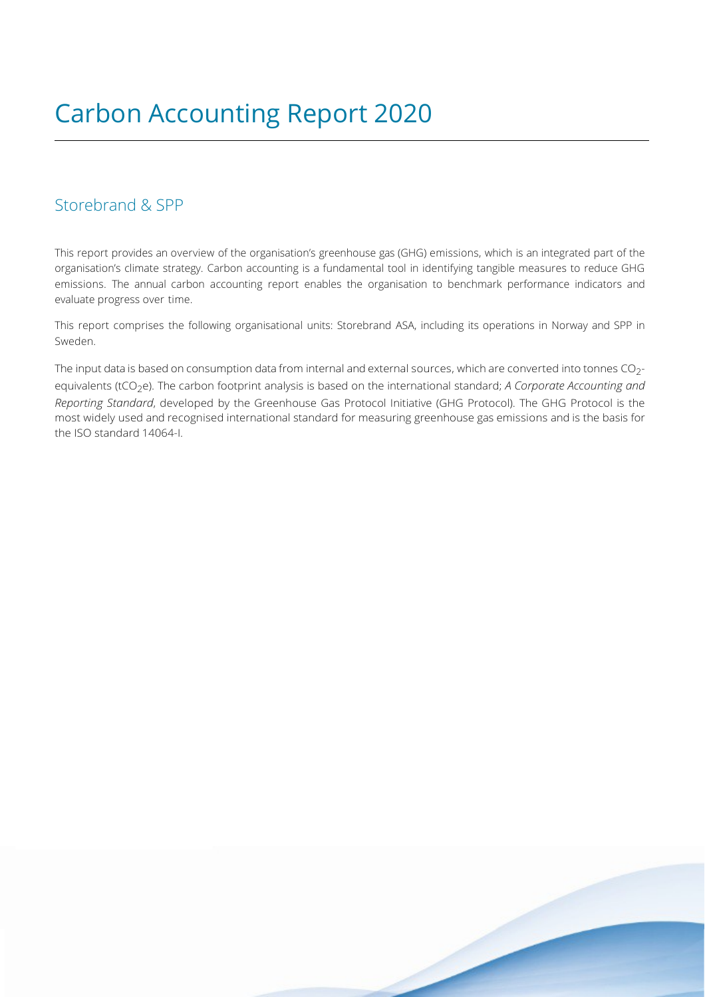## Storebrand & SPP

This report provides an overview of the organisation's greenhouse gas (GHG) emissions, which is an integrated part of the organisation's climate strategy. Carbon accounting is a fundamental tool in identifying tangible measures to reduce GHG emissions. The annual carbon accounting report enables the organisation to benchmark performance indicators and evaluate progress over time.

This report comprises the following organisational units: Storebrand ASA, including its operations in Norway and SPP in Sweden.

The input data is based on consumption data from internal and external sources, which are converted into tonnes CO<sub>2</sub>equivalents (tCO<sub>2</sub>e). The carbon footprint analysis is based on the international standard; *A Corporate Accounting and Reporting Standard*, developed by the Greenhouse Gas Protocol Initiative (GHG Protocol). The GHG Protocol is the most widely used and recognised international standard for measuring greenhouse gas emissions and is the basis for the ISO standard 14064-I.

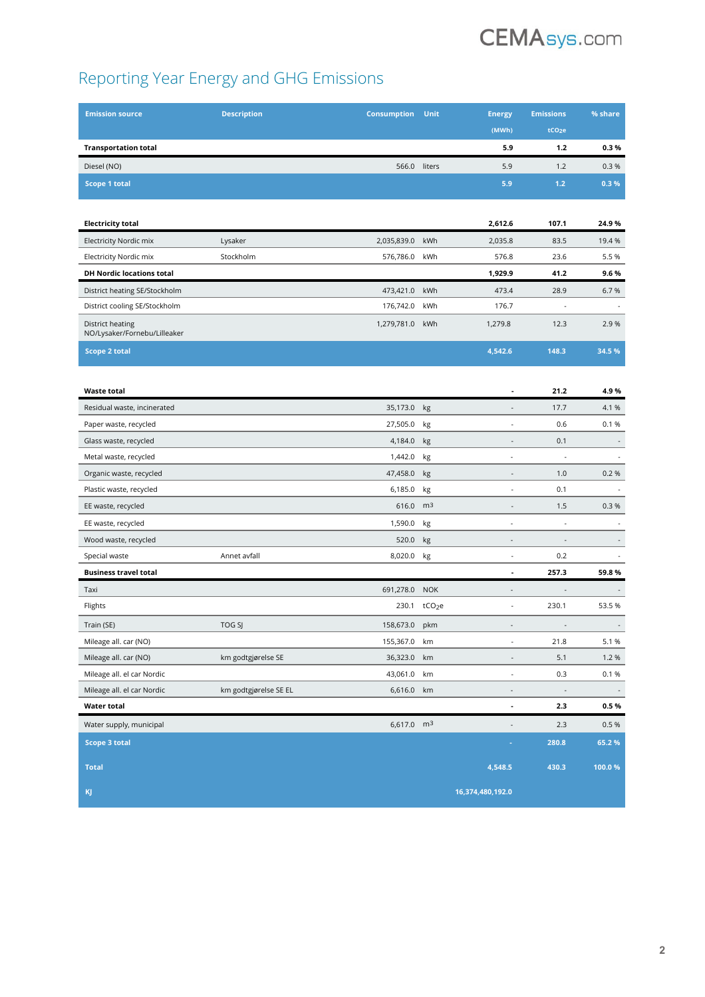# **CEMAsys.com**

# Reporting Year Energy and GHG Emissions

| <b>Emission source</b>                           | <b>Description</b>    | <b>Consumption</b>     | Unit               | <b>Energy</b>                | <b>Emissions</b>         | % share                  |
|--------------------------------------------------|-----------------------|------------------------|--------------------|------------------------------|--------------------------|--------------------------|
|                                                  |                       |                        |                    | (MWh)                        | tCO <sub>2</sub> e       |                          |
| <b>Transportation total</b>                      |                       |                        |                    | 5.9                          | 1.2                      | 0.3%                     |
| Diesel (NO)                                      |                       | 566.0 liters           |                    | 5.9                          | 1.2                      | 0.3%                     |
| <b>Scope 1 total</b>                             |                       |                        |                    | 5.9                          | $1.2$                    | 0.3%                     |
|                                                  |                       |                        |                    |                              |                          |                          |
| <b>Electricity total</b>                         |                       |                        |                    | 2,612.6                      | 107.1                    | 24.9%                    |
| <b>Electricity Nordic mix</b>                    | Lysaker               | 2,035,839.0            | kWh                | 2,035.8                      | 83.5                     | 19.4 %                   |
| <b>Electricity Nordic mix</b>                    | Stockholm             | 576,786.0              | kWh                | 576.8                        | 23.6                     | 5.5 %                    |
| <b>DH Nordic locations total</b>                 |                       |                        |                    | 1,929.9                      | 41.2                     | 9.6%                     |
| District heating SE/Stockholm                    |                       | 473,421.0              | kWh                | 473.4                        | 28.9                     | 6.7%                     |
| District cooling SE/Stockholm                    |                       | 176,742.0              | kWh                | 176.7                        |                          |                          |
| District heating<br>NO/Lysaker/Fornebu/Lilleaker |                       | 1,279,781.0            | kWh                | 1,279.8                      | 12.3                     | 2.9%                     |
| <b>Scope 2 total</b>                             |                       |                        |                    | 4,542.6                      | 148.3                    | 34.5%                    |
|                                                  |                       |                        |                    |                              |                          |                          |
| <b>Waste total</b>                               |                       |                        |                    |                              | 21.2                     | 4.9%                     |
| Residual waste, incinerated                      |                       | 35,173.0               | kg                 | $\sim$                       | 17.7                     | 4.1 %                    |
| Paper waste, recycled                            |                       | 27,505.0               | kg                 | $\overline{\phantom{a}}$     | 0.6                      | 0.1%                     |
| Glass waste, recycled                            |                       | 4,184.0                | kg                 |                              | 0.1                      |                          |
| Metal waste, recycled                            |                       | 1,442.0                | kg                 | $\sim$                       | ÷,                       | $\overline{\phantom{a}}$ |
| Organic waste, recycled                          |                       | 47,458.0               | kg                 | $\centerdot$                 | 1.0                      | 0.2%                     |
| Plastic waste, recycled                          |                       | 6,185.0                | kg                 | ÷,                           | 0.1                      | $\blacksquare$           |
| EE waste, recycled                               |                       | 616.0                  | m <sup>3</sup>     | $\overline{a}$               | 1.5                      | 0.3%                     |
| EE waste, recycled                               |                       | 1,590.0                | kg                 | $\blacksquare$               | $\sim$                   | $\blacksquare$           |
| Wood waste, recycled                             |                       | 520.0                  | kg                 | $\overline{\phantom{a}}$     | $\sim$                   | ÷,                       |
| Special waste                                    | Annet avfall          | 8,020.0                | kg                 | $\overline{\phantom{a}}$     | 0.2                      | $\overline{\phantom{a}}$ |
| <b>Business travel total</b>                     |                       |                        |                    | $\blacksquare$               | 257.3                    | 59.8%                    |
| Taxi                                             |                       | 691,278.0              | <b>NOK</b>         | $\overline{\phantom{a}}$     | $\overline{\phantom{a}}$ |                          |
| Flights                                          |                       | 230.1                  | tCO <sub>2</sub> e |                              | 230.1                    | 53.5 %                   |
| Train (SE)                                       | TOG SJ                | 158,673.0              | pkm                | $\blacksquare$               | $\overline{a}$           |                          |
| Mileage all. car (NO)                            |                       | 155,367.0              | km                 | $\overline{\phantom{a}}$     | 21.8                     | 5.1 %                    |
| Mileage all. car (NO)                            | km godtgjørelse SE    | 36,323.0               | km                 | $\qquad \qquad \blacksquare$ | 5.1                      | 1.2 %                    |
| Mileage all. el car Nordic                       |                       | 43,061.0               | km                 | $\overline{\phantom{a}}$     | 0.3                      | 0.1 %                    |
| Mileage all. el car Nordic                       | km godtgjørelse SE EL | 6,616.0                | km                 |                              |                          |                          |
| Water total                                      |                       |                        |                    | $\blacksquare$               | 2.3                      | 0.5%                     |
| Water supply, municipal                          |                       | 6,617.0 m <sup>3</sup> |                    | $\overline{\phantom{a}}$     | 2.3                      | 0.5%                     |
| <b>Scope 3 total</b>                             |                       |                        |                    | ٠                            | 280.8                    | 65.2%                    |
| <b>Total</b>                                     |                       |                        |                    | 4,548.5                      | 430.3                    | 100.0%                   |
| KJ                                               |                       |                        |                    | 16,374,480,192.0             |                          |                          |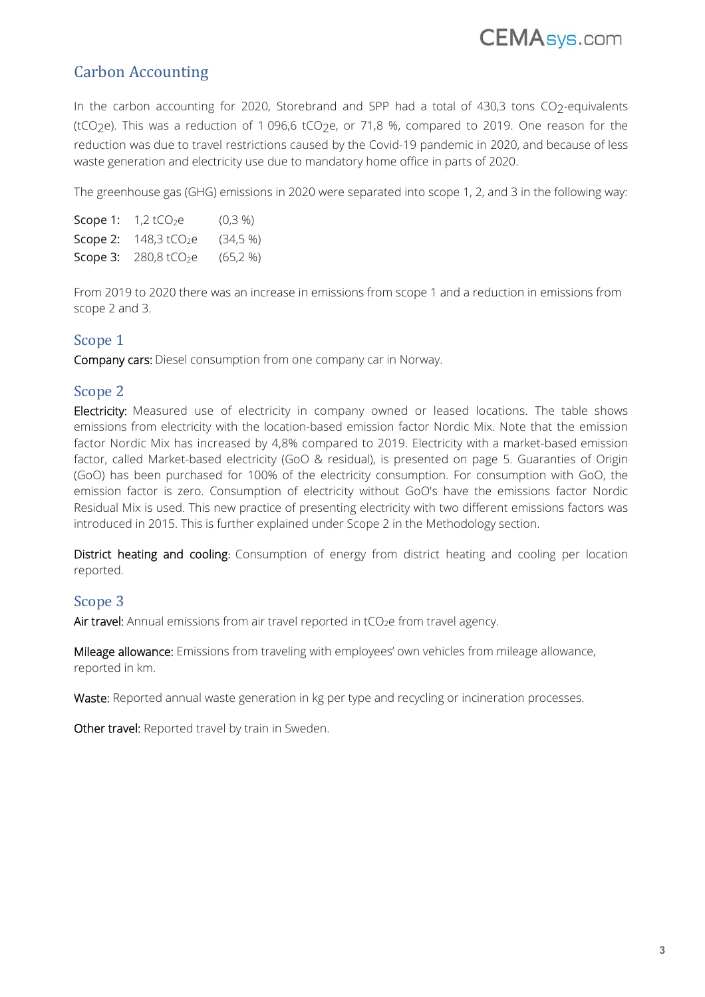

## Carbon Accounting

In the carbon accounting for 2020, Storebrand and SPP had a total of 430,3 tons CO<sub>2</sub>-equivalents (tCO<sub>2</sub>e). This was a reduction of 1 096,6 tCO<sub>2</sub>e, or 71,8 %, compared to 2019. One reason for the reduction was due to travel restrictions caused by the Covid-19 pandemic in 2020, and because of less waste generation and electricity use due to mandatory home office in parts of 2020.

The greenhouse gas (GHG) emissions in 2020 were separated into scope 1, 2, and 3 in the following way:

**Scope 1:**  $1,2$  tCO<sub>2</sub>e (0,3 %) Scope 2:  $148,3 \text{ tCO}_2$ e  $(34,5 \text{ %})$ Scope 3:  $280,8 \text{ tCO}_2$ e  $(65,2 \text{ %})$ 

From 2019 to 2020 there was an increase in emissions from scope 1 and a reduction in emissions from scope 2 and 3.

### Scope 1

Company cars: Diesel consumption from one company car in Norway.

### Scope 2

Electricity: Measured use of electricity in company owned or leased locations. The table shows emissions from electricity with the location-based emission factor Nordic Mix. Note that the emission factor Nordic Mix has increased by 4,8% compared to 2019. Electricity with a market-based emission factor, called Market-based electricity (GoO & residual), is presented on page 5. Guaranties of Origin (GoO) has been purchased for 100% of the electricity consumption. For consumption with GoO, the emission factor is zero. Consumption of electricity without GoO's have the emissions factor Nordic Residual Mix is used. This new practice of presenting electricity with two different emissions factors was introduced in 2015. This is further explained under Scope 2 in the Methodology section.

District heating and cooling: Consumption of energy from district heating and cooling per location reported.

#### Scope 3

Air travel: Annual emissions from air travel reported in  $tCO<sub>2</sub>e$  from travel agency.

Mileage allowance: Emissions from traveling with employees' own vehicles from mileage allowance, reported in km.

Waste: Reported annual waste generation in kg per type and recycling or incineration processes.

Other travel: Reported travel by train in Sweden.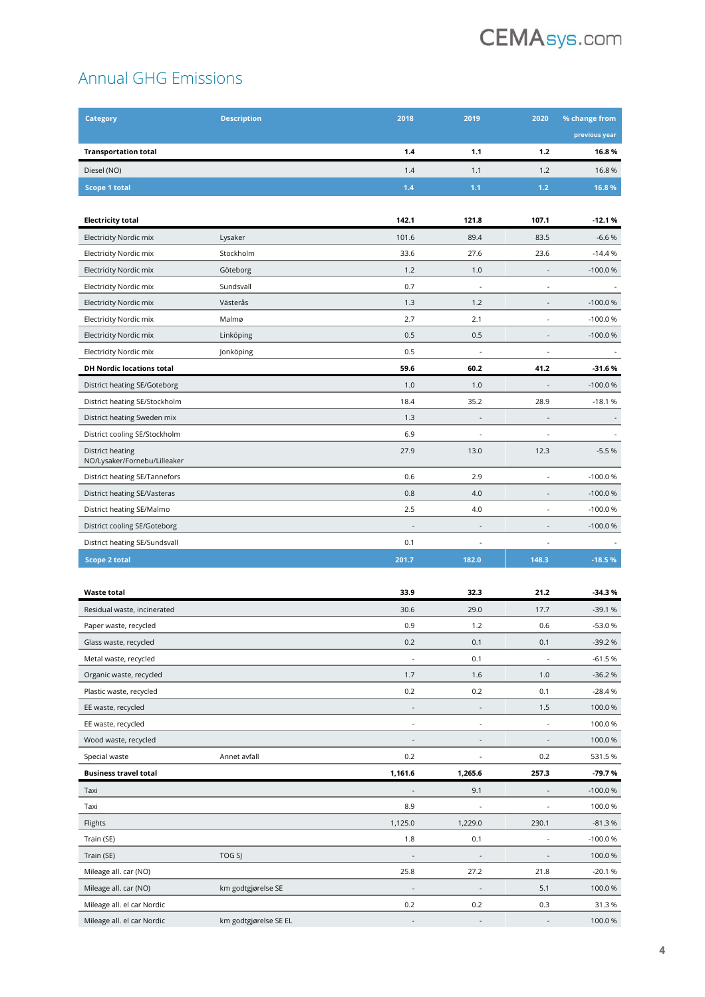

## Annual GHG Emissions

| <b>Category</b>                                  | <b>Description</b>    | 2018                     | 2019                         | 2020                         | % change from<br>previous year |
|--------------------------------------------------|-----------------------|--------------------------|------------------------------|------------------------------|--------------------------------|
| <b>Transportation total</b>                      |                       | 1.4                      | 1.1                          | 1.2                          | 16.8%                          |
| Diesel (NO)                                      |                       | 1.4                      | 1.1                          | 1.2                          | 16.8%                          |
| <b>Scope 1 total</b>                             |                       | 1.4                      | 1.1                          | $1.2$                        | 16.8%                          |
|                                                  |                       |                          |                              |                              |                                |
| <b>Electricity total</b>                         |                       | 142.1                    | 121.8                        | 107.1                        | $-12.1%$                       |
| Electricity Nordic mix                           | Lysaker               | 101.6                    | 89.4                         | 83.5                         | $-6.6%$                        |
| <b>Electricity Nordic mix</b>                    | Stockholm             | 33.6                     | 27.6                         | 23.6                         | $-14.4%$                       |
| Electricity Nordic mix                           | Göteborg              | 1.2                      | 1.0                          |                              | $-100.0%$                      |
| Electricity Nordic mix                           | Sundsvall             | 0.7                      | $\blacksquare$               | ÷,                           |                                |
| Electricity Nordic mix                           | Västerås              | 1.3                      | 1.2                          | $\qquad \qquad \blacksquare$ | $-100.0%$                      |
| Electricity Nordic mix                           | Malmø                 | 2.7                      | 2.1                          | ÷,                           | $-100.0%$                      |
| <b>Electricity Nordic mix</b>                    | Linköping             | 0.5                      | 0.5                          | $\centerdot$                 | $-100.0%$                      |
| Electricity Nordic mix                           | Jonköping             | 0.5                      | ÷,                           | $\centerdot$                 |                                |
| <b>DH Nordic locations total</b>                 |                       | 59.6                     | 60.2                         | 41.2                         | $-31.6%$                       |
| District heating SE/Goteborg                     |                       | 1.0                      | 1.0                          | $\qquad \qquad \blacksquare$ | $-100.0%$                      |
| District heating SE/Stockholm                    |                       | 18.4                     | 35.2                         | 28.9                         | $-18.1%$                       |
| District heating Sweden mix                      |                       | 1.3                      | ÷                            | $\qquad \qquad \blacksquare$ |                                |
| District cooling SE/Stockholm                    |                       | 6.9                      | ÷                            |                              |                                |
| District heating<br>NO/Lysaker/Fornebu/Lilleaker |                       | 27.9                     | 13.0                         | 12.3                         | $-5.5%$                        |
| District heating SE/Tannefors                    |                       | 0.6                      | 2.9                          | ÷,                           | $-100.0%$                      |
| District heating SE/Vasteras                     |                       | 0.8                      | 4.0                          | $\qquad \qquad \blacksquare$ | $-100.0%$                      |
| District heating SE/Malmo                        |                       | 2.5                      | 4.0                          |                              | $-100.0%$                      |
| District cooling SE/Goteborg                     |                       |                          |                              |                              | $-100.0%$                      |
| District heating SE/Sundsvall                    |                       | 0.1                      | ÷,                           | ÷,                           |                                |
| Scope 2 total                                    |                       | 201.7                    | 182.0                        | 148.3                        | $-18.5%$                       |
|                                                  |                       |                          |                              |                              |                                |
| <b>Waste total</b>                               |                       | 33.9                     | 32.3                         | 21.2                         | $-34.3%$                       |
| Residual waste, incinerated                      |                       | 30.6                     | 29.0                         | 17.7                         | $-39.1%$                       |
| Paper waste, recycled                            |                       | 0.9                      | 1.2                          | 0.6                          | $-53.0%$                       |
| Glass waste, recycled                            |                       | 0.2                      | 0.1                          | 0.1                          | $-39.2%$                       |
| Metal waste, recycled                            |                       |                          | 0.1                          |                              | $-61.5%$                       |
| Organic waste, recycled                          |                       | 1.7                      | 1.6                          | 1.0                          | $-36.2%$                       |
| Plastic waste, recycled                          |                       | 0.2                      | 0.2                          | 0.1                          | $-28.4%$                       |
| EE waste, recycled                               |                       | ÷,                       | ÷,                           | 1.5                          | 100.0 %                        |
| EE waste, recycled                               |                       | $\overline{\phantom{a}}$ | $\sim$                       | $\overline{\phantom{a}}$     | 100.0%                         |
| Wood waste, recycled                             |                       | $\overline{\phantom{a}}$ | $\overline{\phantom{a}}$     | $\overline{a}$               | 100.0%                         |
| Special waste                                    | Annet avfall          | 0.2                      | ÷,                           | 0.2                          | 531.5%                         |
| <b>Business travel total</b>                     |                       | 1,161.6                  | 1,265.6                      | 257.3                        | $-79.7%$                       |
| Taxi                                             |                       |                          | 9.1                          | $\overline{\phantom{a}}$     | $-100.0%$                      |
| Taxi                                             |                       | 8.9                      | ÷,                           | L,                           | 100.0%                         |
| Flights                                          |                       | 1,125.0                  | 1,229.0                      | 230.1                        | $-81.3%$                       |
| Train (SE)                                       |                       | 1.8                      | 0.1                          | $\frac{1}{2}$                | $-100.0%$                      |
| Train (SE)                                       | TOG SJ                | $\blacksquare$           | $\overline{\phantom{a}}$     | $\qquad \qquad \blacksquare$ | 100.0%                         |
| Mileage all. car (NO)                            |                       | 25.8                     | 27.2                         | 21.8                         | $-20.1%$                       |
| Mileage all. car (NO)                            | km godtgjørelse SE    |                          |                              | 5.1                          | 100.0%                         |
| Mileage all. el car Nordic                       |                       | 0.2                      | 0.2                          | 0.3                          | 31.3%                          |
| Mileage all. el car Nordic                       | km godtgjørelse SE EL | $\overline{\phantom{a}}$ | $\qquad \qquad \blacksquare$ | ÷,                           | 100.0%                         |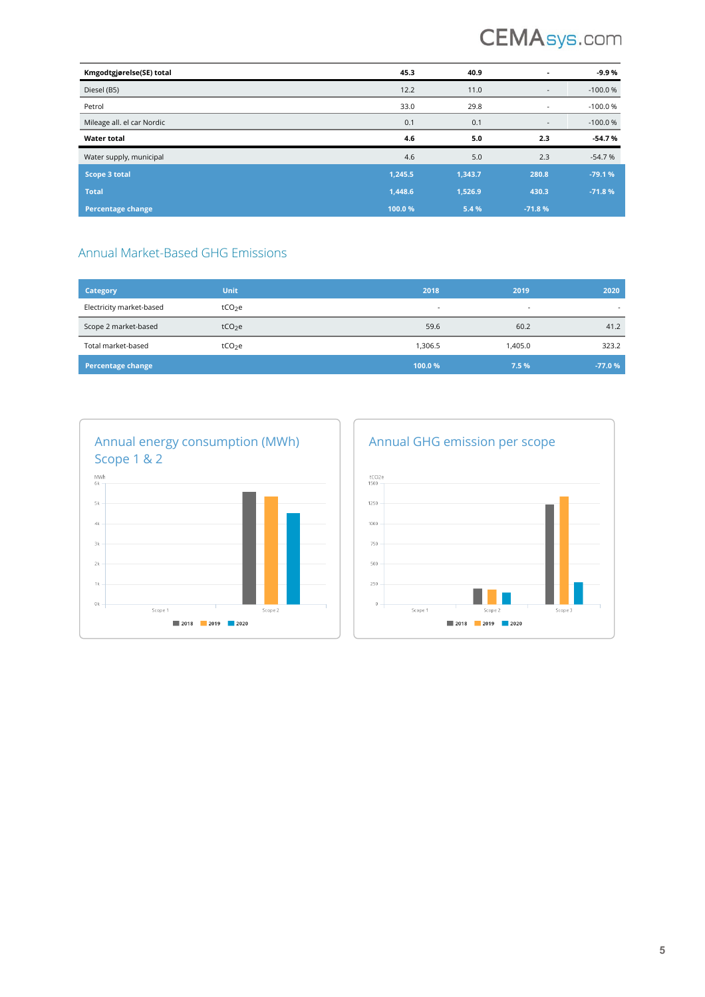# **CEMAsys.com**

| Kmgodtgjørelse(SE) total   | 45.3    | 40.9    | $\blacksquare$           | $-9.9%$   |
|----------------------------|---------|---------|--------------------------|-----------|
| Diesel (B5)                | 12.2    | 11.0    | $\overline{\phantom{a}}$ | $-100.0%$ |
| Petrol                     | 33.0    | 29.8    | $\overline{\phantom{a}}$ | $-100.0%$ |
| Mileage all. el car Nordic | 0.1     | 0.1     |                          | $-100.0%$ |
| <b>Water total</b>         | 4.6     | 5.0     | 2.3                      | $-54.7%$  |
| Water supply, municipal    | 4.6     | 5.0     | 2.3                      | $-54.7%$  |
| Scope 3 total              | 1,245.5 | 1,343.7 | 280.8                    | $-79.1%$  |
| <b>Total</b>               | 1,448.6 | 1,526.9 | 430.3                    | $-71.8%$  |
| <b>Percentage change</b>   | 100.0%  | 5.4 %   | $-71.8%$                 |           |

## Annual Market-Based GHG Emissions

| Category                 | Unit               | 2018   | 2019                     | 2020                     |
|--------------------------|--------------------|--------|--------------------------|--------------------------|
| Electricity market-based | tCO <sub>2</sub> e | $\sim$ | $\overline{\phantom{a}}$ | $\overline{\phantom{a}}$ |
| Scope 2 market-based     | tCO <sub>2</sub> e | 59.6   | 60.2                     | 41.2                     |
| Total market-based       | tCO <sub>2</sub> e | 306.5, | 1,405.0                  | 323.2                    |
| <b>Percentage change</b> |                    | 100.0% | 7.5%                     | $-77.0%$                 |



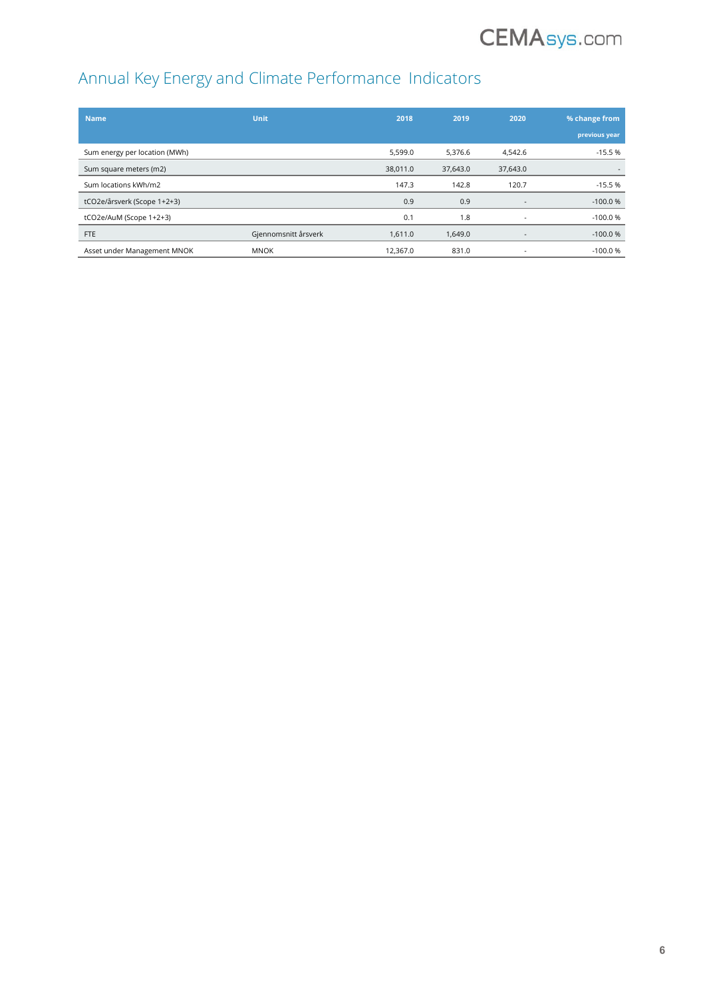

# Annual Key Energy and Climate Performance Indicators

| <b>Name</b>                   | Unit                 | 2018     | 2019     | 2020     | % change from |
|-------------------------------|----------------------|----------|----------|----------|---------------|
|                               |                      |          |          |          | previous year |
| Sum energy per location (MWh) |                      | 5,599.0  | 5,376.6  | 4,542.6  | $-15.5%$      |
| Sum square meters (m2)        |                      | 38,011.0 | 37,643.0 | 37,643.0 |               |
| Sum locations kWh/m2          |                      | 147.3    | 142.8    | 120.7    | $-15.5%$      |
| tCO2e/årsverk (Scope 1+2+3)   |                      | 0.9      | 0.9      |          | $-100.0%$     |
| tCO2e/AuM (Scope 1+2+3)       |                      | 0.1      | 1.8      |          | $-100.0%$     |
| <b>FTE</b>                    | Gjennomsnitt årsverk | 1,611.0  | 1,649.0  |          | $-100.0%$     |
| Asset under Management MNOK   | <b>MNOK</b>          | 12.367.0 | 831.0    |          | $-100.0%$     |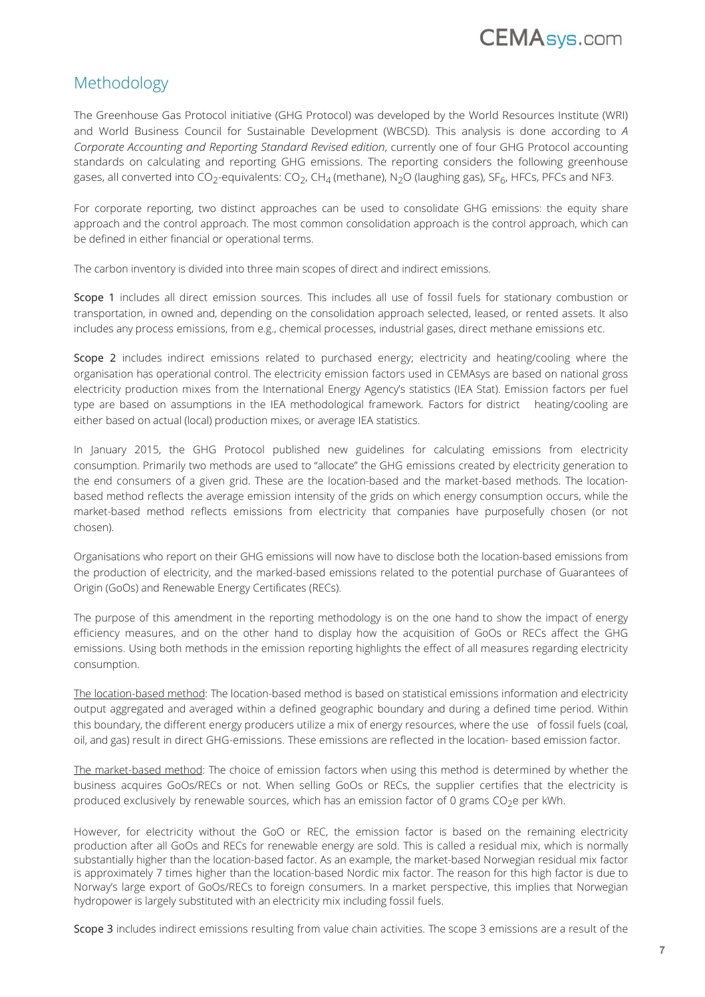

## Methodology

The Greenhouse Gas Protocol initiative (GHG Protocol) was developed by the World Resources Institute (WRI) and World Business Council for Sustainable Development (WBCSD). This analysis is done according to *A Corporate Accounting and Reporting Standard Revised edition*, currently one of four GHG Protocol accounting standards on calculating and reporting GHG emissions. The reporting considers the following greenhouse gases, all converted into  $CO_2$ -equivalents:  $CO_2$ ,  $CH_4$  (methane), N<sub>2</sub>O (laughing gas), SF<sub>6</sub>, HFCs, PFCs and NF3.

For corporate reporting, two distinct approaches can be used to consolidate GHG emissions: the equity share approach and the control approach. The most common consolidation approach is the control approach, which can be defined in either financial or operational terms.

The carbon inventory is divided into three main scopes of direct and indirect emissions.

Scope 1 includes all direct emission sources. This includes all use of fossil fuels for stationary combustion or transportation, in owned and, depending on the consolidation approach selected, leased, or rented assets. It also includes any process emissions, from e.g., chemical processes, industrial gases, direct methane emissions etc.

Scope 2 includes indirect emissions related to purchased energy; electricity and heating/cooling where the organisation has operational control. The electricity emission factors used in CEMAsys are based on national gross electricity production mixes from the International Energy Agency's statistics (IEA Stat). Emission factors per fuel type are based on assumptions in the IEA methodological framework. Factors for district heating/cooling are either based on actual (local) production mixes, or average IEA statistics.

In January 2015, the GHG Protocol published new guidelines for calculating emissions from electricity consumption. Primarily two methods are used to "allocate" the GHG emissions created by electricity generation to the end consumers of a given grid. These are the location-based and the market-based methods. The locationbased method reflects the average emission intensity of the grids on which energy consumption occurs, while the market-based method reflects emissions from electricity that companies have purposefully chosen (or not chosen).

Organisations who report on their GHG emissions will now have to disclose both the location-based emissions from the production of electricity, and the marked-based emissions related to the potential purchase of Guarantees of Origin (GoOs) and Renewable Energy Certificates (RECs).

The purpose of this amendment in the reporting methodology is on the one hand to show the impact of energy efficiency measures, and on the other hand to display how the acquisition of GoOs or RECs affect the GHG emissions. Using both methods in the emission reporting highlights the effect of all measures regarding electricity consumption.

The location-based method: The location-based method is based on statistical emissions information and electricity output aggregated and averaged within a defined geographic boundary and during a defined time period. Within this boundary, the different energy producers utilize a mix of energy resources, where the use of fossil fuels (coal, oil, and gas) result in direct GHG-emissions. These emissions are reflected in the location- based emission factor.

The market-based method: The choice of emission factors when using this method is determined by whether the business acquires GoOs/RECs or not. When selling GoOs or RECs, the supplier certifies that the electricity is produced exclusively by renewable sources, which has an emission factor of 0 grams CO<sub>2</sub>e per kWh.

However, for electricity without the GoO or REC, the emission factor is based on the remaining electricity production after all GoOs and RECs for renewable energy are sold. This is called a residual mix, which is normally substantially higher than the location-based factor. As an example, the market-based Norwegian residual mix factor is approximately 7 times higher than the location-based Nordic mix factor. The reason for this high factor is due to Norway's large export of GoOs/RECs to foreign consumers. In a market perspective, this implies that Norwegian hydropower is largely substituted with an electricity mix including fossil fuels.

Scope 3 includes indirect emissions resulting from value chain activities. The scope 3 emissions are a result of the